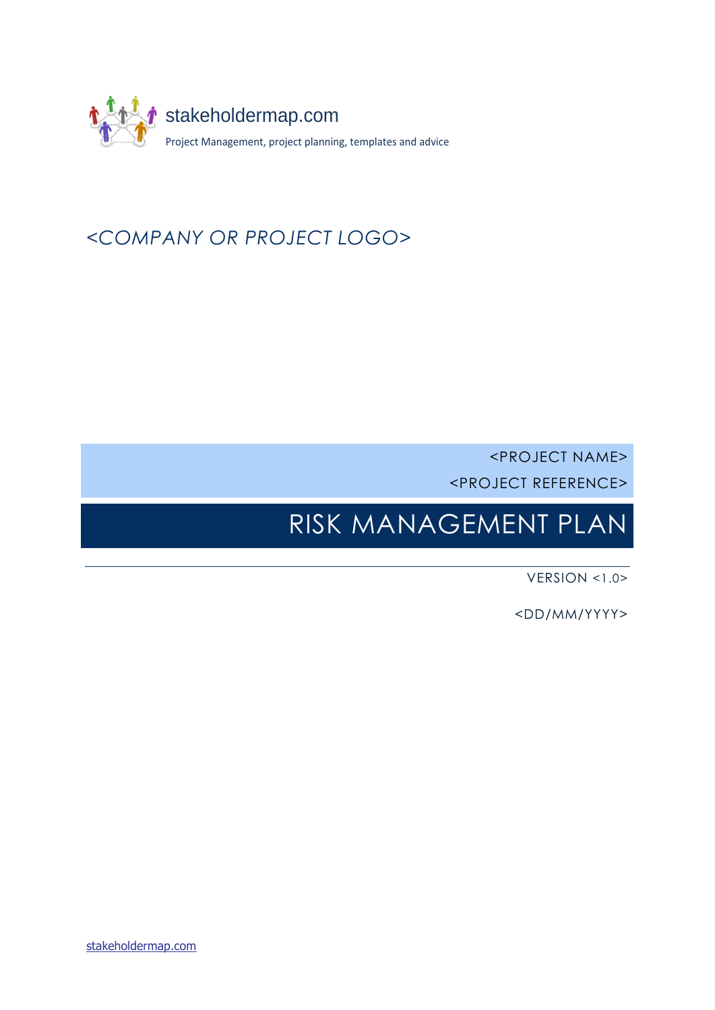

# *<COMPANY OR PROJECT LOGO>*

<PROJECT NAME> <PROJECT REFERENCE>

# <span id="page-0-4"></span><span id="page-0-3"></span><span id="page-0-2"></span><span id="page-0-1"></span><span id="page-0-0"></span>RISK MANAGEMENT PLAN

VERSION <1.0>

<DD/MM/YYYY>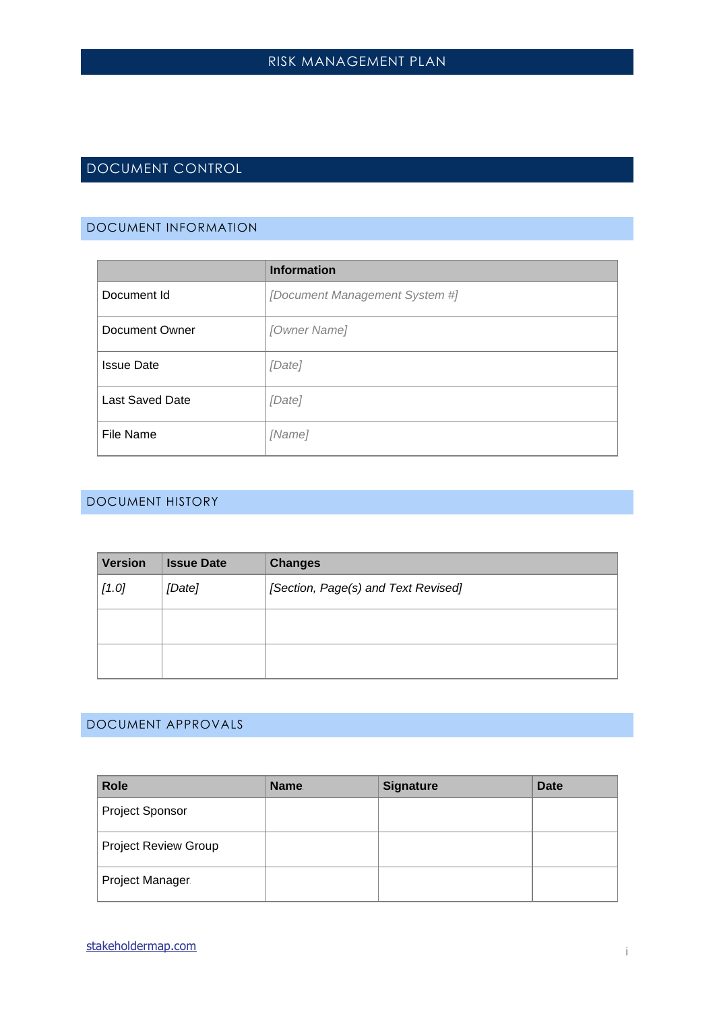# <span id="page-1-0"></span>DOCUMENT CONTROL

#### <span id="page-1-1"></span>DOCUMENT INFORMATION

|                        | <b>Information</b>             |
|------------------------|--------------------------------|
| Document Id            | [Document Management System #] |
| Document Owner         | [Owner Name]                   |
| <b>Issue Date</b>      | [Date]                         |
| <b>Last Saved Date</b> | [Date]                         |
| File Name              | [Name]                         |

### <span id="page-1-2"></span>DOCUMENT HISTORY

| <b>Version</b> | <b>Issue Date</b> | <b>Changes</b>                      |
|----------------|-------------------|-------------------------------------|
| $[1.0]$        | [Date]            | [Section, Page(s) and Text Revised] |
|                |                   |                                     |
|                |                   |                                     |

### <span id="page-1-3"></span>DOCUMENT APPROVALS

| <b>Role</b>                 | <b>Name</b> | <b>Signature</b> | <b>Date</b> |
|-----------------------------|-------------|------------------|-------------|
| <b>Project Sponsor</b>      |             |                  |             |
| <b>Project Review Group</b> |             |                  |             |
| Project Manager.            |             |                  |             |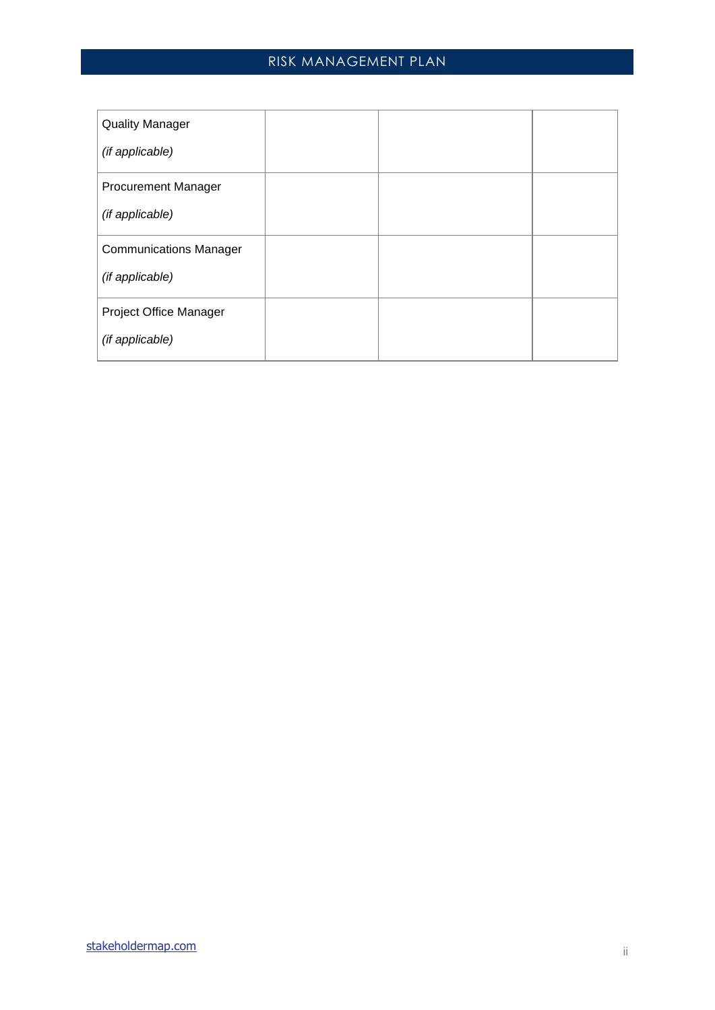| <b>Quality Manager</b>        |  |  |
|-------------------------------|--|--|
| (if applicable)               |  |  |
| <b>Procurement Manager</b>    |  |  |
| (if applicable)               |  |  |
| <b>Communications Manager</b> |  |  |
| (if applicable)               |  |  |
| Project Office Manager        |  |  |
| (if applicable)               |  |  |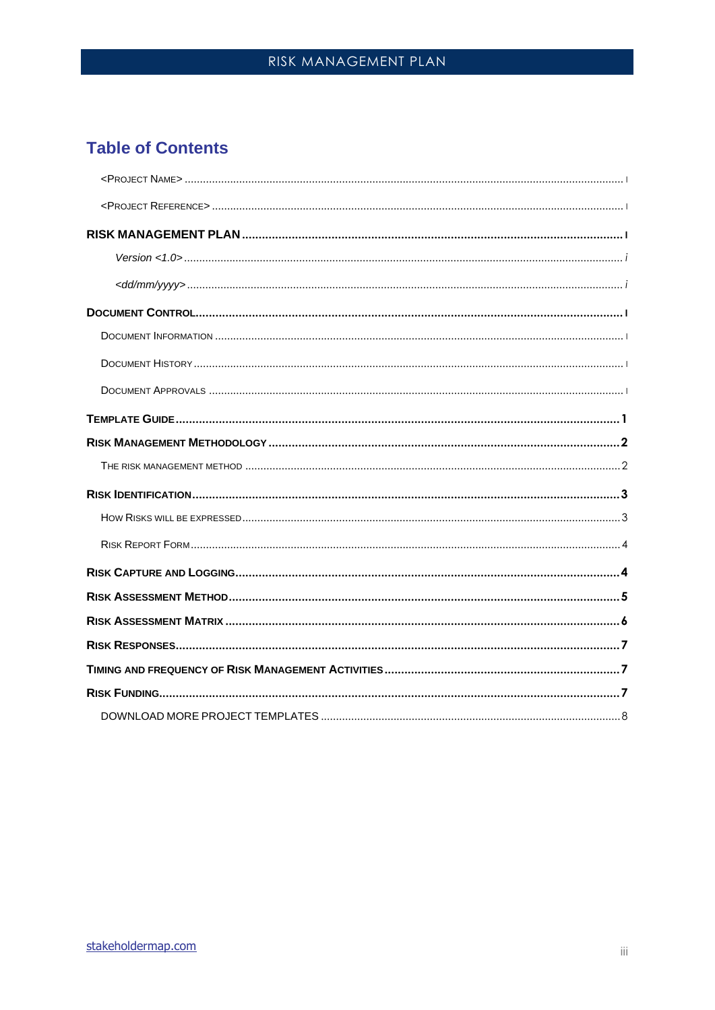# **Table of Contents**

| Version < 1.0 |  |
|---------------|--|
|               |  |
|               |  |
|               |  |
|               |  |
|               |  |
|               |  |
|               |  |
|               |  |
|               |  |
|               |  |
|               |  |
|               |  |
|               |  |
|               |  |
|               |  |
|               |  |
|               |  |
|               |  |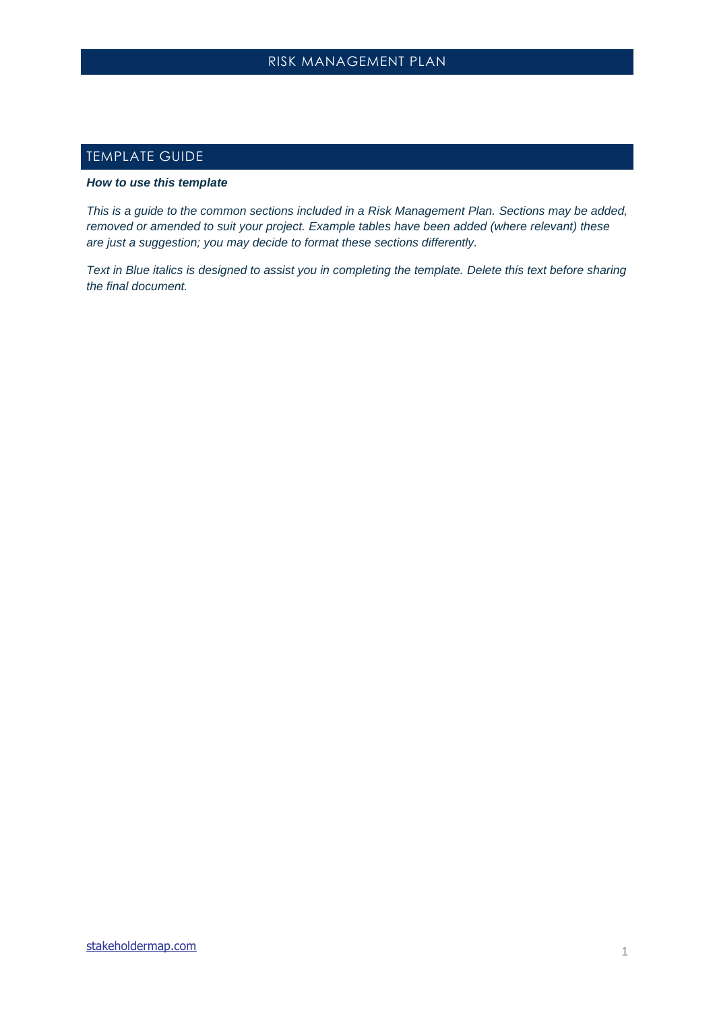# <span id="page-4-0"></span>TEMPLATE GUIDE

#### *How to use this template*

*This is a guide to the common sections included in a Risk Management Plan. Sections may be added, removed or amended to suit your project. Example tables have been added (where relevant) these are just a suggestion; you may decide to format these sections differently.*

*Text in Blue italics is designed to assist you in completing the template. Delete this text before sharing the final document.*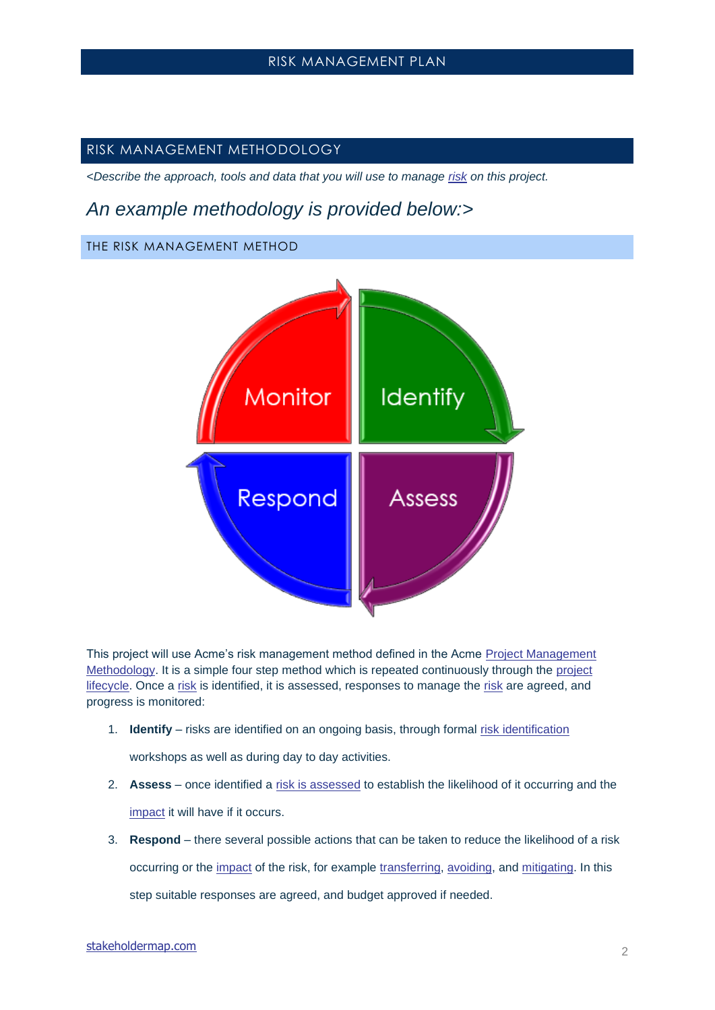### <span id="page-5-0"></span>RISK MANAGEMENT METHODOLOGY

*<Describe the approach, tools and data that you will use to manage [risk](https://www.stakeholdermap.com/project-dictionary/project-dictionary-r.html#risk) on this project.*

# *An example methodology is provided below:>*

### <span id="page-5-1"></span>THE RISK MANAGEMENT METHOD



This project will use Acme's risk management method defined in the Acme Project Management [Methodology.](https://www.stakeholdermap.com/project-dictionary/project-dictionary-p.html#project-management-methodology) It is a simple four step method which is repeated continuously through the [project](https://www.stakeholdermap.com/project-dictionary/project-dictionary-p.html#project-life-cycle)  [lifecycle.](https://www.stakeholdermap.com/project-dictionary/project-dictionary-p.html#project-life-cycle) Once a [risk](https://www.stakeholdermap.com/project-dictionary/project-dictionary-r.html#risk) is identified, it is assessed, responses to manage the [risk](https://www.stakeholdermap.com/project-dictionary/project-dictionary-r.html#risk) are agreed, and progress is monitored:

1. **Identify** – risks are identified on an ongoing basis, through formal [risk identification](https://www.stakeholdermap.com/project-dictionary/project-dictionary-r.html#risk-identificatio)

workshops as well as during day to day activities.

- 2. **Assess** once identified a [risk is assessed](https://www.stakeholdermap.com/project-dictionary/project-dictionary-r.html#risk-assessment) to establish the likelihood of it occurring and the [impact](https://www.stakeholdermap.com/risk/risk-dictionary-E-O.html#impact) it will have if it occurs.
- 3. **Respond** there several possible actions that can be taken to reduce the likelihood of a risk occurring or the [impact](https://www.stakeholdermap.com/risk/risk-dictionary-E-O.html#impact) of the risk, for example [transferring,](https://www.stakeholdermap.com/risk/risk-dictionary-S-T.html#transfer) [avoiding,](https://www.stakeholdermap.com/project-dictionary/project-dictionary-a.html#avoid-risk-response) and [mitigating.](https://www.stakeholdermap.com/project-dictionary/project-dictionary-r.html#risk-mitigation) In this step suitable responses are agreed, and budget approved if needed.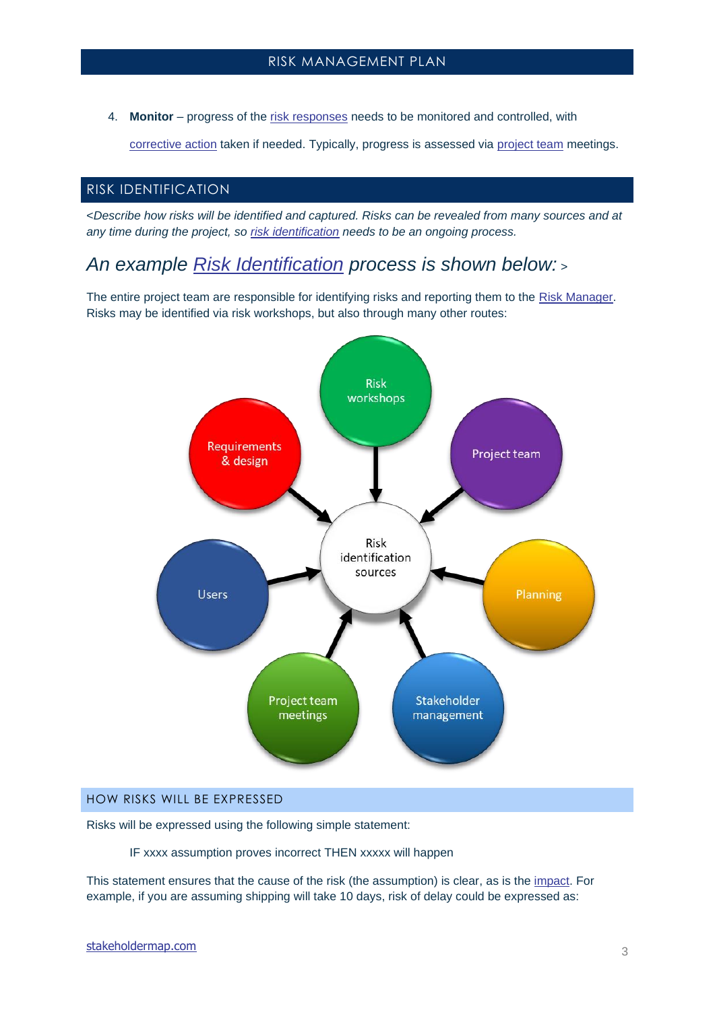4. **Monitor** – progress of the [risk responses](https://www.stakeholdermap.com/risk/risk-responses.html) needs to be monitored and controlled, with

[corrective action](https://www.stakeholdermap.com/project-dictionary/project-dictionary-c.html#corrective-action) taken if needed. Typically, progress is assessed via [project team](https://www.stakeholdermap.com/project-dictionary/project-dictionary-p.html#project-team) meetings.

### <span id="page-6-0"></span>RISK IDENTIFICATION

<*Describe how risks will be identified and captured. Risks can be revealed from many sources and at any time during the project, so [risk identification](https://www.stakeholdermap.com/project-dictionary/project-dictionary-r.html#risk-identificatio) needs to be an ongoing process.*

*An example [Risk Identification](https://www.stakeholdermap.com/project-dictionary/project-dictionary-r.html#risk-identificatio) process is shown below:* <sup>&</sup>gt;

The entire project team are responsible for identifying risks and reporting them to the [Risk Manager.](https://www.stakeholdermap.com/risk/risk-dictionary-R.html#risk-manager) Risks may be identified via risk workshops, but also through many other routes:



### <span id="page-6-1"></span>HOW RISKS WILL BE EXPRESSED

Risks will be expressed using the following simple statement:

IF xxxx assumption proves incorrect THEN xxxxx will happen

This statement ensures that the cause of the risk (the assumption) is clear, as is the [impact.](https://www.stakeholdermap.com/risk/risk-dictionary-E-O.html#impact) For example, if you are assuming shipping will take 10 days, risk of delay could be expressed as: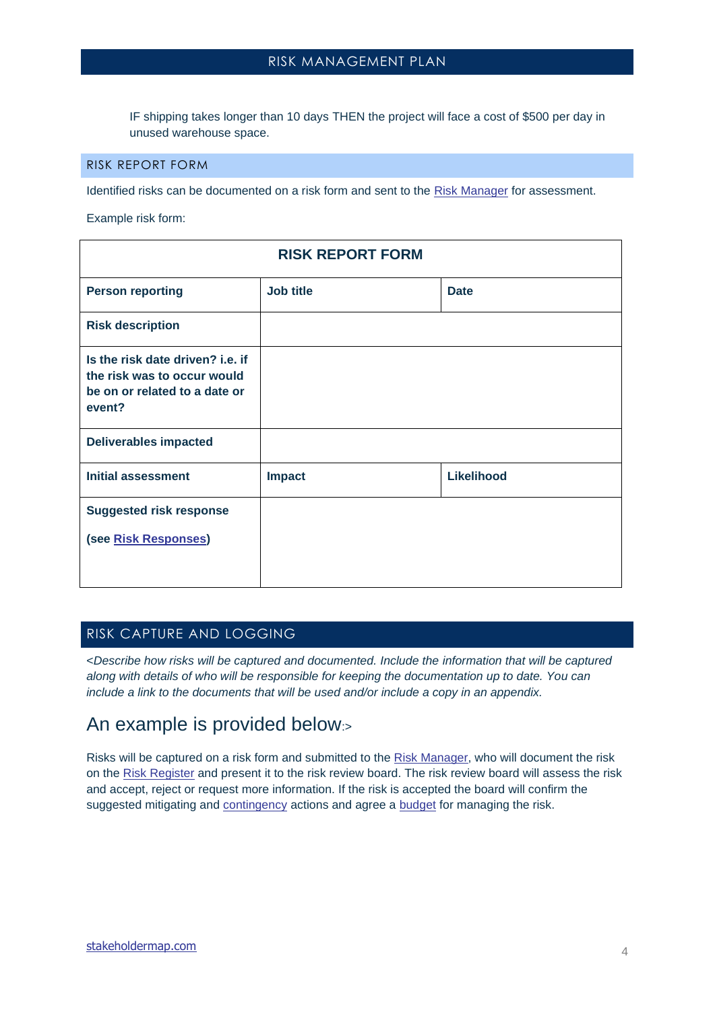# RISK MANAGFMFNT PLAN

IF shipping takes longer than 10 days THEN the project will face a cost of \$500 per day in unused warehouse space.

#### <span id="page-7-0"></span>RISK REPORT FORM

Identified risks can be documented on a risk form and sent to the [Risk Manager](https://www.stakeholdermap.com/risk/risk-dictionary-R.html#risk-manager) for assessment.

Example risk form:

| <b>RISK REPORT FORM</b>                                                                                    |           |                   |  |
|------------------------------------------------------------------------------------------------------------|-----------|-------------------|--|
| <b>Person reporting</b>                                                                                    | Job title | <b>Date</b>       |  |
| <b>Risk description</b>                                                                                    |           |                   |  |
| Is the risk date driven? i.e. if<br>the risk was to occur would<br>be on or related to a date or<br>event? |           |                   |  |
| <b>Deliverables impacted</b>                                                                               |           |                   |  |
| <b>Initial assessment</b>                                                                                  | Impact    | <b>Likelihood</b> |  |
| <b>Suggested risk response</b>                                                                             |           |                   |  |
| (see Risk Responses)                                                                                       |           |                   |  |
|                                                                                                            |           |                   |  |

### <span id="page-7-1"></span>RISK CAPTURE AND LOGGING

<*Describe how risks will be captured and documented. Include the information that will be captured along with details of who will be responsible for keeping the documentation up to date. You can include a link to the documents that will be used and/or include a copy in an appendix.*

# An example is provided below:>

Risks will be captured on a risk form and submitted to the [Risk Manager,](https://www.stakeholdermap.com/risk/risk-dictionary-R.html#risk-manager) who will document the risk on the [Risk Register](https://www.stakeholdermap.com/risk/risk-dictionary-R.html#risk-register) and present it to the risk review board. The risk review board will assess the risk and accept, reject or request more information. If the risk is accepted the board will confirm the suggested mitigating and [contingency](https://www.stakeholdermap.com/project-dictionary/project-dictionary-c.html#contingency) actions and agree a [budget](https://www.stakeholdermap.com/project-dictionary/project-dictionary-b.html#budget) for managing the risk.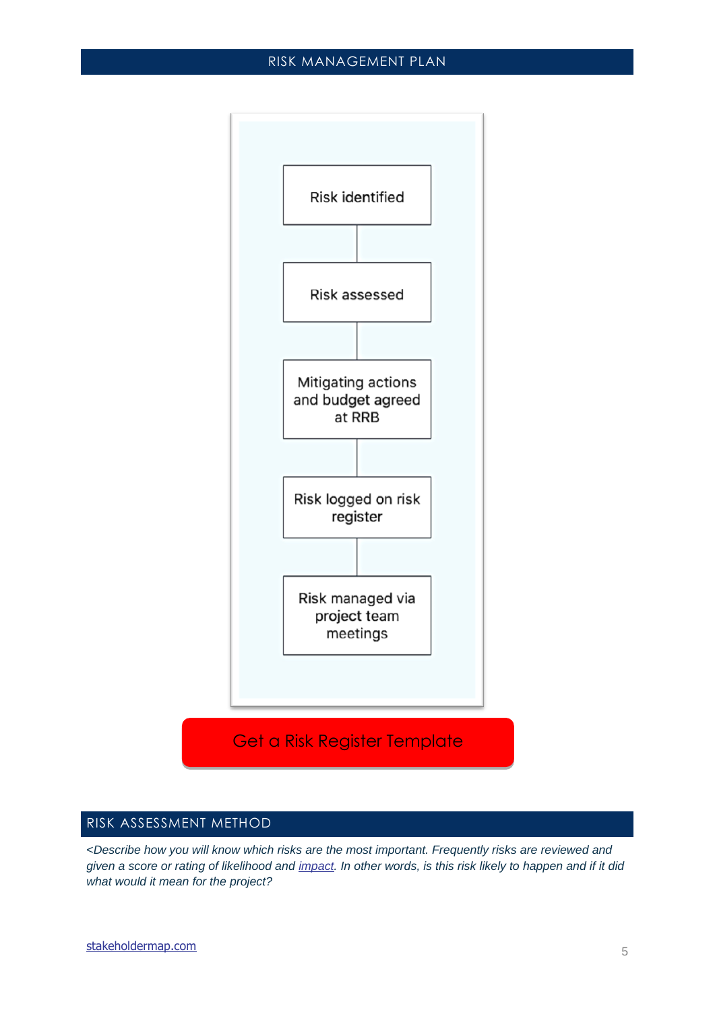

### <span id="page-8-0"></span>RISK ASSESSMENT METHOD

<*Describe how you will know which risks are the most important. Frequently risks are reviewed and given a score or rating of likelihood and [impact.](https://www.stakeholdermap.com/risk/risk-dictionary-E-O.html#impact) In other words, is this risk likely to happen and if it did what would it mean for the project?*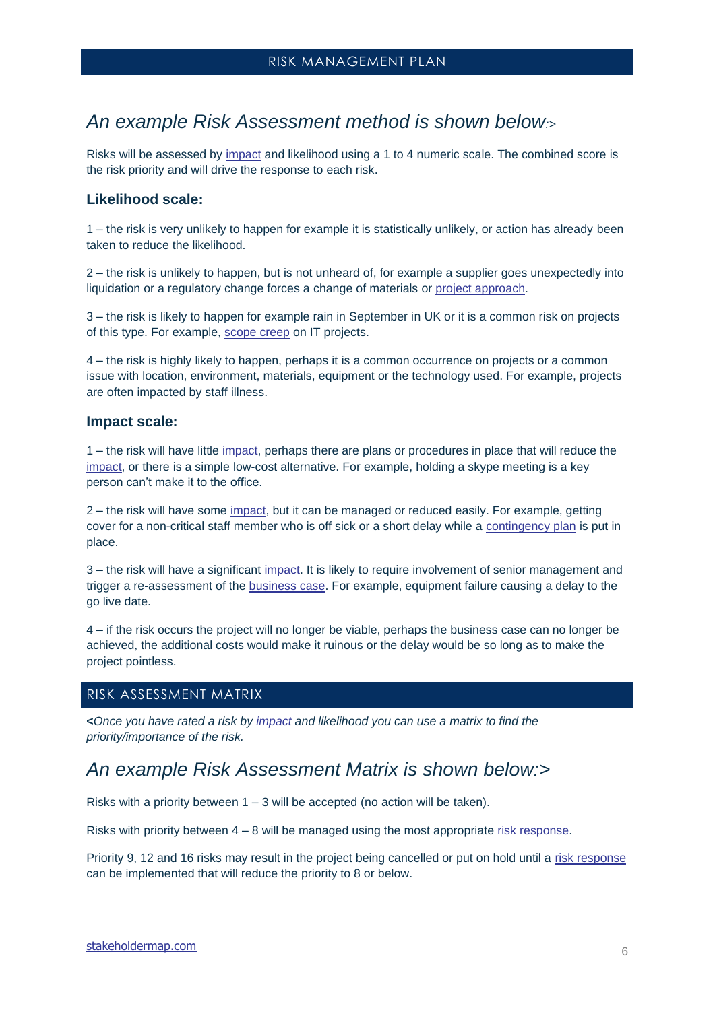# *An example Risk Assessment method is shown below:>*

Risks will be assessed by [impact](https://www.stakeholdermap.com/risk/risk-dictionary-E-O.html#impact) and likelihood using a 1 to 4 numeric scale. The combined score is the risk priority and will drive the response to each risk.

#### **Likelihood scale:**

1 – the risk is very unlikely to happen for example it is statistically unlikely, or action has already been taken to reduce the likelihood.

2 – the risk is unlikely to happen, but is not unheard of, for example a supplier goes unexpectedly into liquidation or a regulatory change forces a change of materials or [project approach.](https://www.stakeholdermap.com/project-dictionary/project-dictionary-p.html#project%09approach)

3 – the risk is likely to happen for example rain in September in UK or it is a common risk on projects of this type. For example, [scope creep](https://www.stakeholdermap.com/project-dictionary/project-dictionary-s.html#scope-creep) on IT projects.

4 – the risk is highly likely to happen, perhaps it is a common occurrence on projects or a common issue with location, environment, materials, equipment or the technology used. For example, projects are often impacted by staff illness.

#### **Impact scale:**

1 – the risk will have little [impact,](https://www.stakeholdermap.com/risk/risk-dictionary-E-O.html#impact) perhaps there are plans or procedures in place that will reduce the [impact,](https://www.stakeholdermap.com/risk/risk-dictionary-E-O.html#impact) or there is a simple low-cost alternative. For example, holding a skype meeting is a key person can't make it to the office.

2 – the risk will have some *impact*, but it can be managed or reduced easily. For example, getting cover for a non-critical staff member who is off sick or a short delay while a [contingency plan](https://www.stakeholdermap.com/project-dictionary/project-dictionary-c.html#contingency-plan) is put in place.

3 – the risk will have a significant [impact.](https://www.stakeholdermap.com/risk/risk-dictionary-E-O.html#impact) It is likely to require involvement of senior management and trigger a re-assessment of the [business case.](https://www.stakeholdermap.com/project-management/business-case.html#the-business-case) For example, equipment failure causing a delay to the go live date.

4 – if the risk occurs the project will no longer be viable, perhaps the business case can no longer be achieved, the additional costs would make it ruinous or the delay would be so long as to make the project pointless.

#### <span id="page-9-0"></span>RISK ASSESSMENT MATRIX

**<***Once you have rated a risk by [impact](https://www.stakeholdermap.com/risk/risk-dictionary-E-O.html#impact) and likelihood you can use a matrix to find the priority/importance of the risk.* 

# *An example Risk Assessment Matrix is shown below:>*

Risks with a priority between  $1 - 3$  will be accepted (no action will be taken).

Risks with priority between  $4 - 8$  will be managed using the most appropriate [risk response.](https://www.stakeholdermap.com/risk/risk-dictionary-R.html#risk-response)

Priority 9, 12 and 16 risks may result in the project being cancelled or put on hold until a [risk response](https://www.stakeholdermap.com/risk/risk-dictionary-R.html#risk-response) can be implemented that will reduce the priority to 8 or below.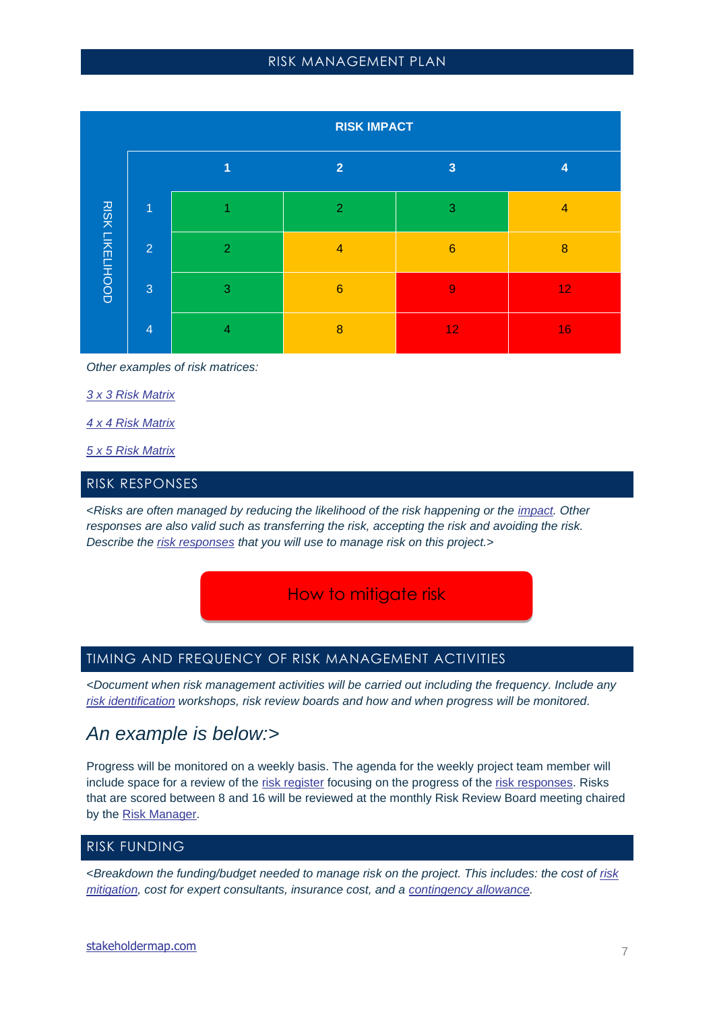|                        | <b>RISK IMPACT</b> |                |                  |                         |                 |
|------------------------|--------------------|----------------|------------------|-------------------------|-----------------|
|                        |                    | 1              | $\overline{2}$   | $\overline{\mathbf{3}}$ | 4               |
|                        | $\overline{1}$     |                | $\overline{2}$   | 3                       | $\overline{4}$  |
| <b>RISK LIKELIHOOD</b> | $\overline{2}$     | $\overline{2}$ | $\overline{4}$   | $6\phantom{1}6$         | 8               |
|                        | 3                  | 3              | $6\phantom{1}6$  | 9                       | 12 <sub>2</sub> |
|                        | $\overline{4}$     | 4              | $\boldsymbol{8}$ | 12 <sub>1</sub>         | 16              |

*Other examples of risk matrices:*

*[3 x 3 Risk Matrix](https://www.stakeholdermap.com/risk/risk-assessment-matrix-simple-3x3.html)*

*[4 x 4 Risk Matrix](https://www.stakeholdermap.com/risk/risk-assessment-matrix-4x4.html)*

*[5 x 5 Risk Matrix](https://www.stakeholdermap.com/risk/risk-assessment-matrix-aviation-safety-example.html)*

### <span id="page-10-0"></span>RISK RESPONSES

<*Risks are often managed by reducing the likelihood of the risk happening or the [impact.](https://www.stakeholdermap.com/risk/risk-dictionary-E-O.html#impact) Other responses are also valid such as transferring the risk, accepting the risk and avoiding the risk. Describe the [risk responses](https://www.stakeholdermap.com/risk/risk-responses.html) that you will use to manage risk on this project.>*

How to mitigate risk

#### <span id="page-10-1"></span>TIMING AND FREQUENCY OF RISK MANAGEMENT ACTIVITIES

*<Document when risk management activities will be carried out including the frequency. Include any [risk identification](https://www.stakeholdermap.com/project-dictionary/project-dictionary-r.html#risk-identificatio) workshops, risk review boards and how and when progress will be monitored.*

# *An example is below:>*

Progress will be monitored on a weekly basis. The agenda for the weekly project team member will include space for a review of the [risk register](https://www.stakeholdermap.com/risk/risk-dictionary-R.html#risk-register) focusing on the progress of the [risk responses.](https://www.stakeholdermap.com/risk/risk-responses.html) Risks that are scored between 8 and 16 will be reviewed at the monthly Risk Review Board meeting chaired by the [Risk Manager.](https://www.stakeholdermap.com/risk/risk-dictionary-R.html#risk-manager)

# <span id="page-10-2"></span>RISK FUNDING

<*Breakdown the funding/budget needed to manage risk on the project. This includes: the cost of [risk](https://www.stakeholdermap.com/risk/risk-mitigation.html)  [mitigation,](https://www.stakeholdermap.com/risk/risk-mitigation.html) cost for expert consultants, insurance cost, and a [contingency allowance.](https://www.stakeholdermap.com/project-dictionary/project-dictionary-c.html#contingency-allowance)*